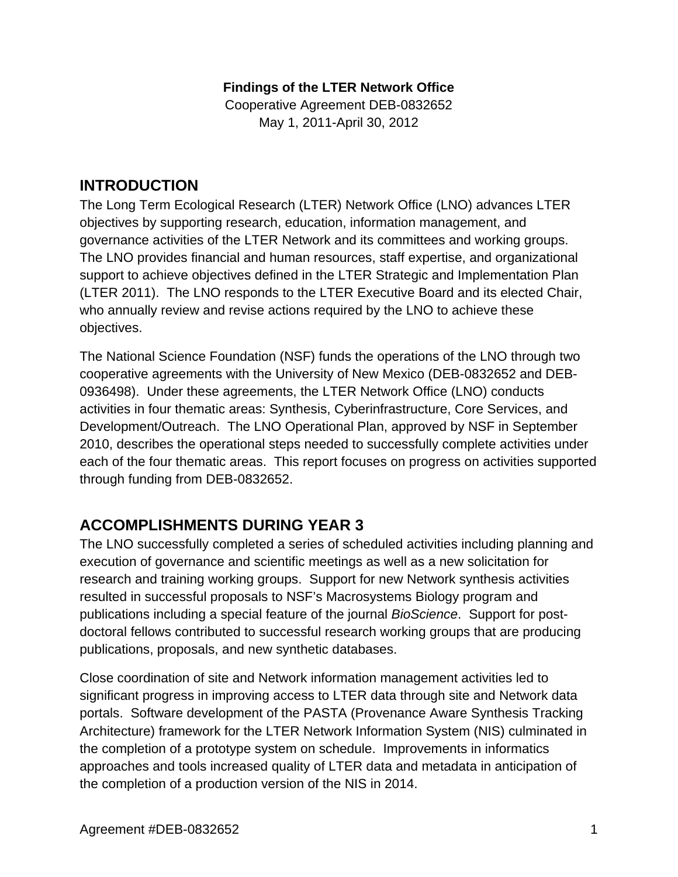### **Findings of the LTER Network Office**

Cooperative Agreement DEB-0832652 May 1, 2011-April 30, 2012

# **INTRODUCTION**

The Long Term Ecological Research (LTER) Network Office (LNO) advances LTER objectives by supporting research, education, information management, and governance activities of the LTER Network and its committees and working groups. The LNO provides financial and human resources, staff expertise, and organizational support to achieve objectives defined in the LTER Strategic and Implementation Plan (LTER 2011). The LNO responds to the LTER Executive Board and its elected Chair, who annually review and revise actions required by the LNO to achieve these objectives.

The National Science Foundation (NSF) funds the operations of the LNO through two cooperative agreements with the University of New Mexico (DEB-0832652 and DEB-0936498). Under these agreements, the LTER Network Office (LNO) conducts activities in four thematic areas: Synthesis, Cyberinfrastructure, Core Services, and Development/Outreach. The LNO Operational Plan, approved by NSF in September 2010, describes the operational steps needed to successfully complete activities under each of the four thematic areas. This report focuses on progress on activities supported through funding from DEB-0832652.

# **ACCOMPLISHMENTS DURING YEAR 3**

The LNO successfully completed a series of scheduled activities including planning and execution of governance and scientific meetings as well as a new solicitation for research and training working groups. Support for new Network synthesis activities resulted in successful proposals to NSF's Macrosystems Biology program and publications including a special feature of the journal *BioScience*. Support for postdoctoral fellows contributed to successful research working groups that are producing publications, proposals, and new synthetic databases.

Close coordination of site and Network information management activities led to significant progress in improving access to LTER data through site and Network data portals. Software development of the PASTA (Provenance Aware Synthesis Tracking Architecture) framework for the LTER Network Information System (NIS) culminated in the completion of a prototype system on schedule. Improvements in informatics approaches and tools increased quality of LTER data and metadata in anticipation of the completion of a production version of the NIS in 2014.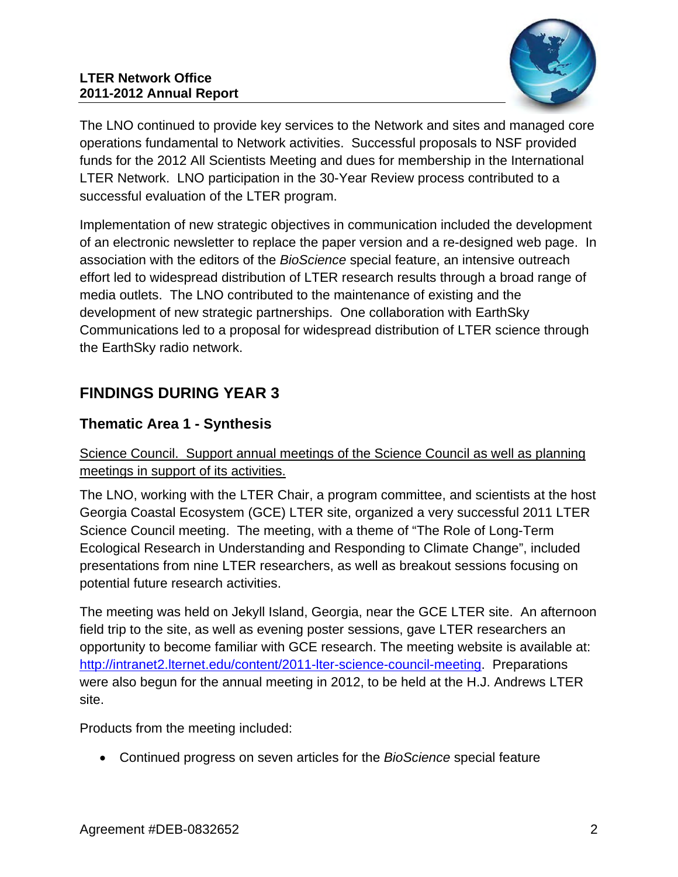

The LNO continued to provide key services to the Network and sites and managed core operations fundamental to Network activities. Successful proposals to NSF provided funds for the 2012 All Scientists Meeting and dues for membership in the International LTER Network. LNO participation in the 30-Year Review process contributed to a successful evaluation of the LTER program.

Implementation of new strategic objectives in communication included the development of an electronic newsletter to replace the paper version and a re-designed web page. In association with the editors of the *BioScience* special feature, an intensive outreach effort led to widespread distribution of LTER research results through a broad range of media outlets. The LNO contributed to the maintenance of existing and the development of new strategic partnerships. One collaboration with EarthSky Communications led to a proposal for widespread distribution of LTER science through the EarthSky radio network.

# **FINDINGS DURING YEAR 3**

# **Thematic Area 1 - Synthesis**

Science Council. Support annual meetings of the Science Council as well as planning meetings in support of its activities.

The LNO, working with the LTER Chair, a program committee, and scientists at the host Georgia Coastal Ecosystem (GCE) LTER site, organized a very successful 2011 LTER Science Council meeting. The meeting, with a theme of "The Role of Long-Term Ecological Research in Understanding and Responding to Climate Change", included presentations from nine LTER researchers, as well as breakout sessions focusing on potential future research activities.

The meeting was held on Jekyll Island, Georgia, near the GCE LTER site. An afternoon field trip to the site, as well as evening poster sessions, gave LTER researchers an opportunity to become familiar with GCE research. The meeting website is available at: http://intranet2.lternet.edu/content/2011-lter-science-council-meeting. Preparations were also begun for the annual meeting in 2012, to be held at the H.J. Andrews LTER site.

Products from the meeting included:

Continued progress on seven articles for the *BioScience* special feature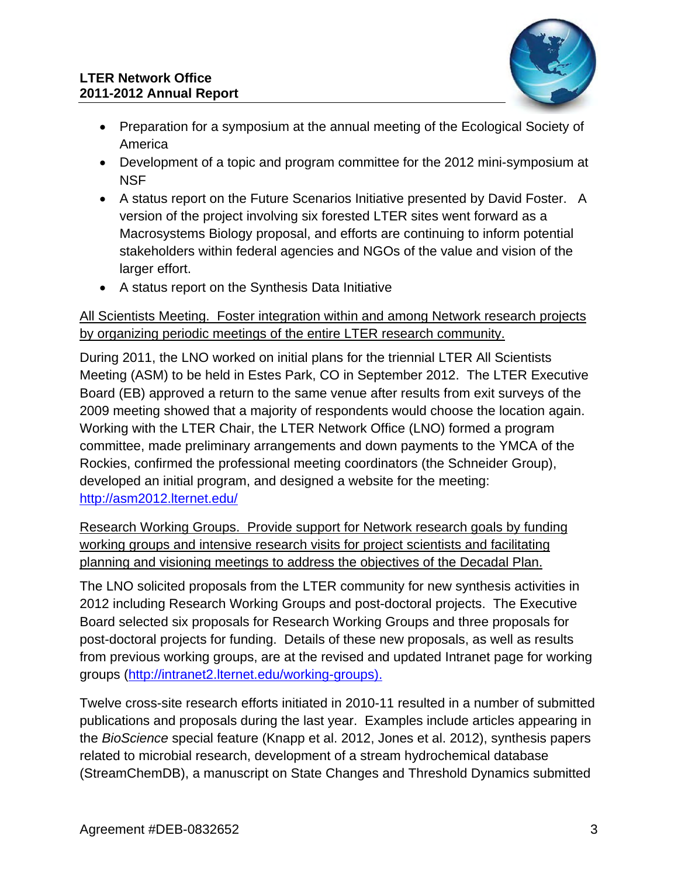

- Preparation for a symposium at the annual meeting of the Ecological Society of America
- Development of a topic and program committee for the 2012 mini-symposium at **NSF**
- A status report on the Future Scenarios Initiative presented by David Foster. A version of the project involving six forested LTER sites went forward as a Macrosystems Biology proposal, and efforts are continuing to inform potential stakeholders within federal agencies and NGOs of the value and vision of the larger effort.
- A status report on the Synthesis Data Initiative

### All Scientists Meeting. Foster integration within and among Network research projects by organizing periodic meetings of the entire LTER research community.

During 2011, the LNO worked on initial plans for the triennial LTER All Scientists Meeting (ASM) to be held in Estes Park, CO in September 2012. The LTER Executive Board (EB) approved a return to the same venue after results from exit surveys of the 2009 meeting showed that a majority of respondents would choose the location again. Working with the LTER Chair, the LTER Network Office (LNO) formed a program committee, made preliminary arrangements and down payments to the YMCA of the Rockies, confirmed the professional meeting coordinators (the Schneider Group), developed an initial program, and designed a website for the meeting: http://asm2012.lternet.edu/

Research Working Groups. Provide support for Network research goals by funding working groups and intensive research visits for project scientists and facilitating planning and visioning meetings to address the objectives of the Decadal Plan.

The LNO solicited proposals from the LTER community for new synthesis activities in 2012 including Research Working Groups and post-doctoral projects. The Executive Board selected six proposals for Research Working Groups and three proposals for post-doctoral projects for funding. Details of these new proposals, as well as results from previous working groups, are at the revised and updated Intranet page for working groups (http://intranet2.lternet.edu/working-groups).

Twelve cross-site research efforts initiated in 2010-11 resulted in a number of submitted publications and proposals during the last year. Examples include articles appearing in the *BioScience* special feature (Knapp et al. 2012, Jones et al. 2012), synthesis papers related to microbial research, development of a stream hydrochemical database (StreamChemDB), a manuscript on State Changes and Threshold Dynamics submitted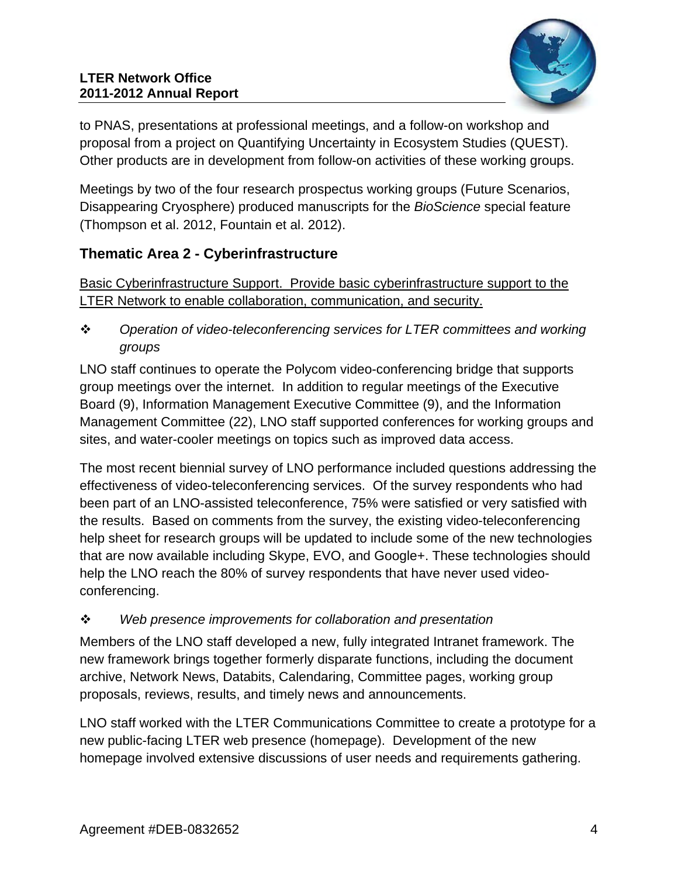

to PNAS, presentations at professional meetings, and a follow-on workshop and proposal from a project on Quantifying Uncertainty in Ecosystem Studies (QUEST). Other products are in development from follow-on activities of these working groups.

Meetings by two of the four research prospectus working groups (Future Scenarios, Disappearing Cryosphere) produced manuscripts for the *BioScience* special feature (Thompson et al. 2012, Fountain et al. 2012).

# **Thematic Area 2 - Cyberinfrastructure**

Basic Cyberinfrastructure Support. Provide basic cyberinfrastructure support to the LTER Network to enable collaboration, communication, and security.

 *Operation of video-teleconferencing services for LTER committees and working groups* 

LNO staff continues to operate the Polycom video-conferencing bridge that supports group meetings over the internet. In addition to regular meetings of the Executive Board (9), Information Management Executive Committee (9), and the Information Management Committee (22), LNO staff supported conferences for working groups and sites, and water-cooler meetings on topics such as improved data access.

The most recent biennial survey of LNO performance included questions addressing the effectiveness of video-teleconferencing services. Of the survey respondents who had been part of an LNO-assisted teleconference, 75% were satisfied or very satisfied with the results. Based on comments from the survey, the existing video-teleconferencing help sheet for research groups will be updated to include some of the new technologies that are now available including Skype, EVO, and Google+. These technologies should help the LNO reach the 80% of survey respondents that have never used videoconferencing.

## *Web presence improvements for collaboration and presentation*

Members of the LNO staff developed a new, fully integrated Intranet framework. The new framework brings together formerly disparate functions, including the document archive, Network News, Databits, Calendaring, Committee pages, working group proposals, reviews, results, and timely news and announcements.

LNO staff worked with the LTER Communications Committee to create a prototype for a new public-facing LTER web presence (homepage). Development of the new homepage involved extensive discussions of user needs and requirements gathering.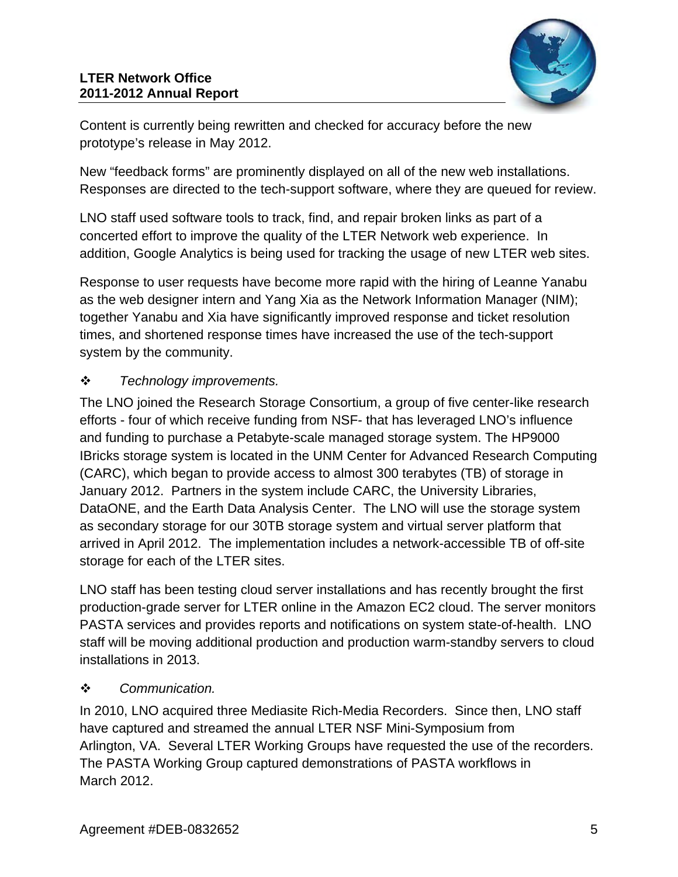

Content is currently being rewritten and checked for accuracy before the new prototype's release in May 2012.

New "feedback forms" are prominently displayed on all of the new web installations. Responses are directed to the tech-support software, where they are queued for review.

LNO staff used software tools to track, find, and repair broken links as part of a concerted effort to improve the quality of the LTER Network web experience. In addition, Google Analytics is being used for tracking the usage of new LTER web sites.

Response to user requests have become more rapid with the hiring of Leanne Yanabu as the web designer intern and Yang Xia as the Network Information Manager (NIM); together Yanabu and Xia have significantly improved response and ticket resolution times, and shortened response times have increased the use of the tech-support system by the community.

## *Technology improvements.*

The LNO joined the Research Storage Consortium, a group of five center-like research efforts - four of which receive funding from NSF- that has leveraged LNO's influence and funding to purchase a Petabyte-scale managed storage system. The HP9000 IBricks storage system is located in the UNM Center for Advanced Research Computing (CARC), which began to provide access to almost 300 terabytes (TB) of storage in January 2012. Partners in the system include CARC, the University Libraries, DataONE, and the Earth Data Analysis Center. The LNO will use the storage system as secondary storage for our 30TB storage system and virtual server platform that arrived in April 2012. The implementation includes a network-accessible TB of off-site storage for each of the LTER sites.

LNO staff has been testing cloud server installations and has recently brought the first production-grade server for LTER online in the Amazon EC2 cloud. The server monitors PASTA services and provides reports and notifications on system state-of-health. LNO staff will be moving additional production and production warm-standby servers to cloud installations in 2013.

## *Communication.*

In 2010, LNO acquired three Mediasite Rich-Media Recorders. Since then, LNO staff have captured and streamed the annual LTER NSF Mini-Symposium from Arlington, VA. Several LTER Working Groups have requested the use of the recorders. The PASTA Working Group captured demonstrations of PASTA workflows in March 2012.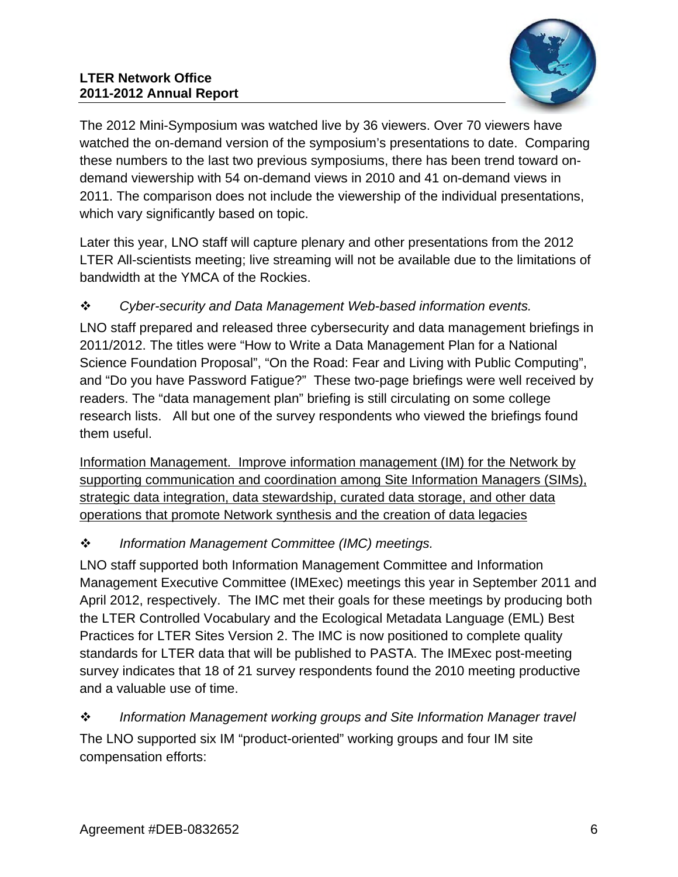#### **LTER Network Office 2011-2012 Annual Report**



The 2012 Mini-Symposium was watched live by 36 viewers. Over 70 viewers have watched the on-demand version of the symposium's presentations to date. Comparing these numbers to the last two previous symposiums, there has been trend toward ondemand viewership with 54 on-demand views in 2010 and 41 on-demand views in 2011. The comparison does not include the viewership of the individual presentations, which vary significantly based on topic.

Later this year, LNO staff will capture plenary and other presentations from the 2012 LTER All-scientists meeting; live streaming will not be available due to the limitations of bandwidth at the YMCA of the Rockies.

## *Cyber-security and Data Management Web-based information events.*

LNO staff prepared and released three cybersecurity and data management briefings in 2011/2012. The titles were "How to Write a Data Management Plan for a National Science Foundation Proposal", "On the Road: Fear and Living with Public Computing", and "Do you have Password Fatigue?" These two-page briefings were well received by readers. The "data management plan" briefing is still circulating on some college research lists. All but one of the survey respondents who viewed the briefings found them useful.

Information Management. Improve information management (IM) for the Network by supporting communication and coordination among Site Information Managers (SIMs), strategic data integration, data stewardship, curated data storage, and other data operations that promote Network synthesis and the creation of data legacies

## *Information Management Committee (IMC) meetings.*

LNO staff supported both Information Management Committee and Information Management Executive Committee (IMExec) meetings this year in September 2011 and April 2012, respectively. The IMC met their goals for these meetings by producing both the LTER Controlled Vocabulary and the Ecological Metadata Language (EML) Best Practices for LTER Sites Version 2. The IMC is now positioned to complete quality standards for LTER data that will be published to PASTA. The IMExec post-meeting survey indicates that 18 of 21 survey respondents found the 2010 meeting productive and a valuable use of time.

## *Information Management working groups and Site Information Manager travel*  The LNO supported six IM "product-oriented" working groups and four IM site compensation efforts: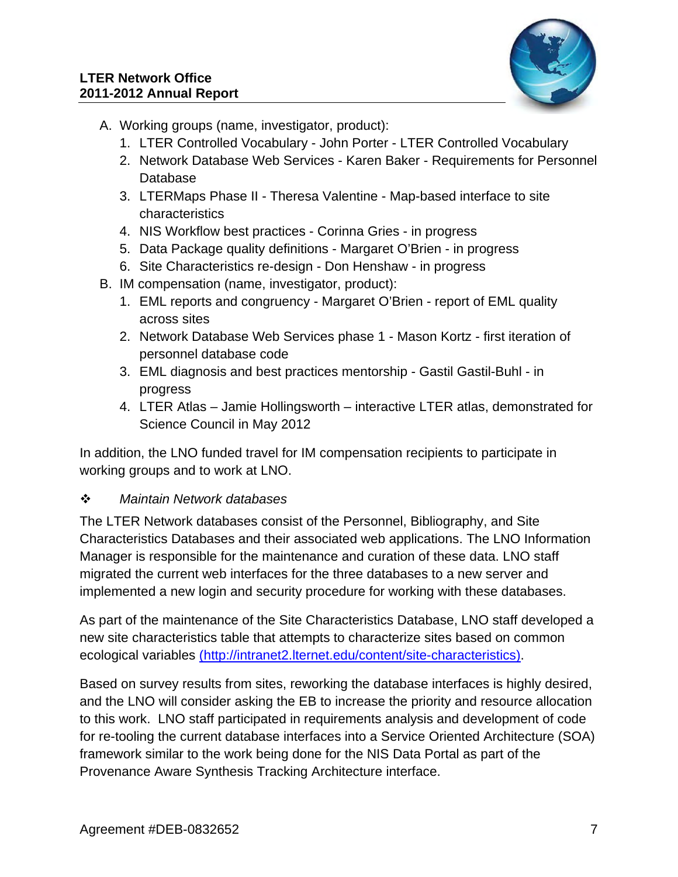

- A. Working groups (name, investigator, product):
	- 1. LTER Controlled Vocabulary John Porter LTER Controlled Vocabulary
	- 2. Network Database Web Services Karen Baker Requirements for Personnel Database
	- 3. LTERMaps Phase II Theresa Valentine Map-based interface to site characteristics
	- 4. NIS Workflow best practices Corinna Gries in progress
	- 5. Data Package quality definitions Margaret O'Brien in progress
	- 6. Site Characteristics re-design Don Henshaw in progress
- B. IM compensation (name, investigator, product):
	- 1. EML reports and congruency Margaret O'Brien report of EML quality across sites
	- 2. Network Database Web Services phase 1 Mason Kortz first iteration of personnel database code
	- 3. EML diagnosis and best practices mentorship Gastil Gastil-Buhl in progress
	- 4. LTER Atlas Jamie Hollingsworth interactive LTER atlas, demonstrated for Science Council in May 2012

In addition, the LNO funded travel for IM compensation recipients to participate in working groups and to work at LNO.

### *Maintain Network databases*

The LTER Network databases consist of the Personnel, Bibliography, and Site Characteristics Databases and their associated web applications. The LNO Information Manager is responsible for the maintenance and curation of these data. LNO staff migrated the current web interfaces for the three databases to a new server and implemented a new login and security procedure for working with these databases.

As part of the maintenance of the Site Characteristics Database, LNO staff developed a new site characteristics table that attempts to characterize sites based on common ecological variables (http://intranet2.lternet.edu/content/site-characteristics).

Based on survey results from sites, reworking the database interfaces is highly desired, and the LNO will consider asking the EB to increase the priority and resource allocation to this work. LNO staff participated in requirements analysis and development of code for re-tooling the current database interfaces into a Service Oriented Architecture (SOA) framework similar to the work being done for the NIS Data Portal as part of the Provenance Aware Synthesis Tracking Architecture interface.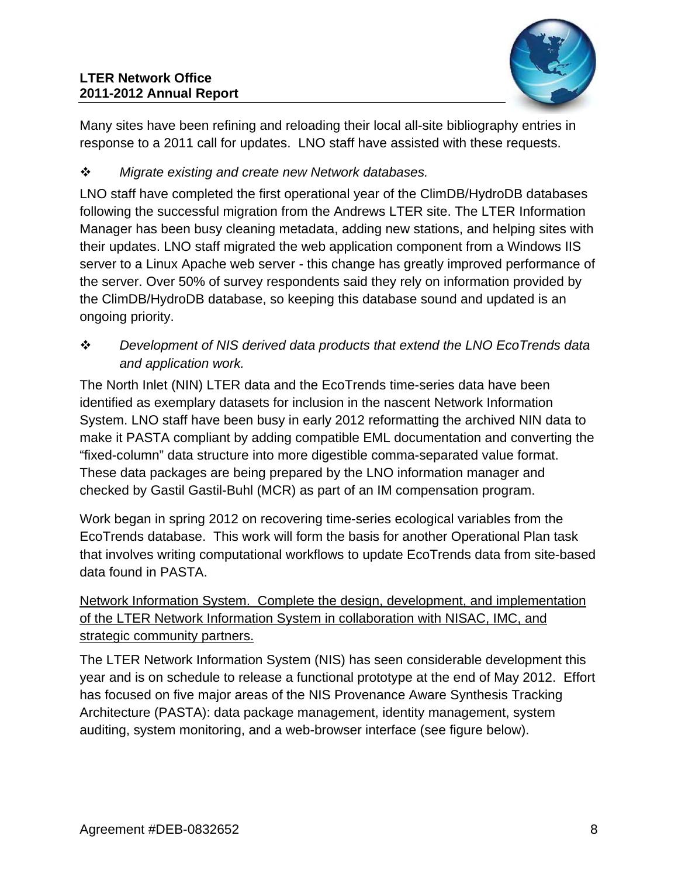

Many sites have been refining and reloading their local all-site bibliography entries in response to a 2011 call for updates. LNO staff have assisted with these requests.

# *Migrate existing and create new Network databases.*

LNO staff have completed the first operational year of the ClimDB/HydroDB databases following the successful migration from the Andrews LTER site. The LTER Information Manager has been busy cleaning metadata, adding new stations, and helping sites with their updates. LNO staff migrated the web application component from a Windows IIS server to a Linux Apache web server - this change has greatly improved performance of the server. Over 50% of survey respondents said they rely on information provided by the ClimDB/HydroDB database, so keeping this database sound and updated is an ongoing priority.

 *Development of NIS derived data products that extend the LNO EcoTrends data and application work.* 

The North Inlet (NIN) LTER data and the EcoTrends time-series data have been identified as exemplary datasets for inclusion in the nascent Network Information System. LNO staff have been busy in early 2012 reformatting the archived NIN data to make it PASTA compliant by adding compatible EML documentation and converting the "fixed-column" data structure into more digestible comma-separated value format. These data packages are being prepared by the LNO information manager and checked by Gastil Gastil-Buhl (MCR) as part of an IM compensation program.

Work began in spring 2012 on recovering time-series ecological variables from the EcoTrends database. This work will form the basis for another Operational Plan task that involves writing computational workflows to update EcoTrends data from site-based data found in PASTA.

Network Information System. Complete the design, development, and implementation of the LTER Network Information System in collaboration with NISAC, IMC, and strategic community partners.

The LTER Network Information System (NIS) has seen considerable development this year and is on schedule to release a functional prototype at the end of May 2012. Effort has focused on five major areas of the NIS Provenance Aware Synthesis Tracking Architecture (PASTA): data package management, identity management, system auditing, system monitoring, and a web-browser interface (see figure below).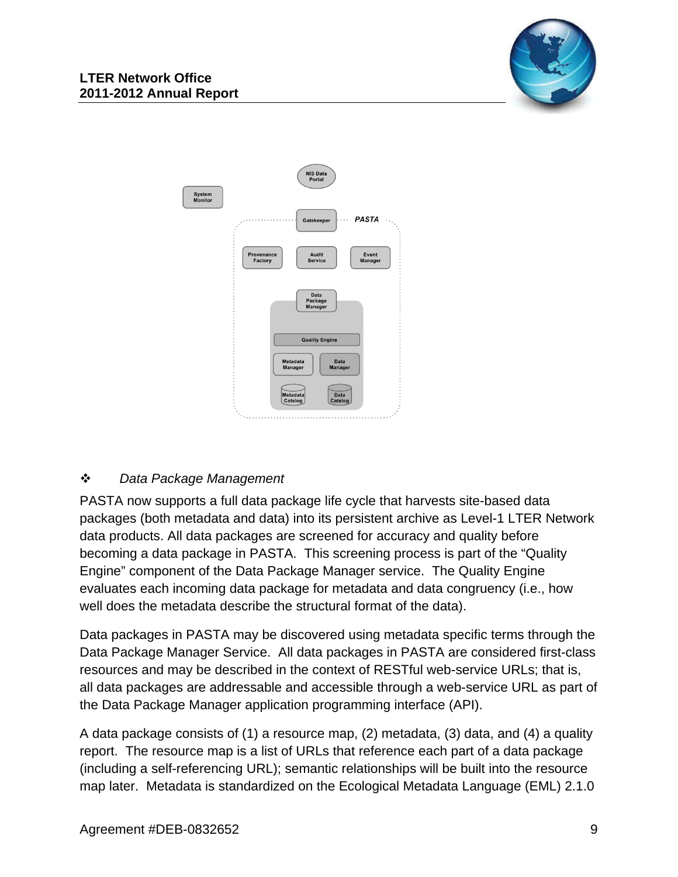



### *Data Package Management*

PASTA now supports a full data package life cycle that harvests site-based data packages (both metadata and data) into its persistent archive as Level-1 LTER Network data products. All data packages are screened for accuracy and quality before becoming a data package in PASTA. This screening process is part of the "Quality Engine" component of the Data Package Manager service. The Quality Engine evaluates each incoming data package for metadata and data congruency (i.e., how well does the metadata describe the structural format of the data).

Data packages in PASTA may be discovered using metadata specific terms through the Data Package Manager Service. All data packages in PASTA are considered first-class resources and may be described in the context of RESTful web-service URLs; that is, all data packages are addressable and accessible through a web-service URL as part of the Data Package Manager application programming interface (API).

A data package consists of (1) a resource map, (2) metadata, (3) data, and (4) a quality report. The resource map is a list of URLs that reference each part of a data package (including a self-referencing URL); semantic relationships will be built into the resource map later. Metadata is standardized on the Ecological Metadata Language (EML) 2.1.0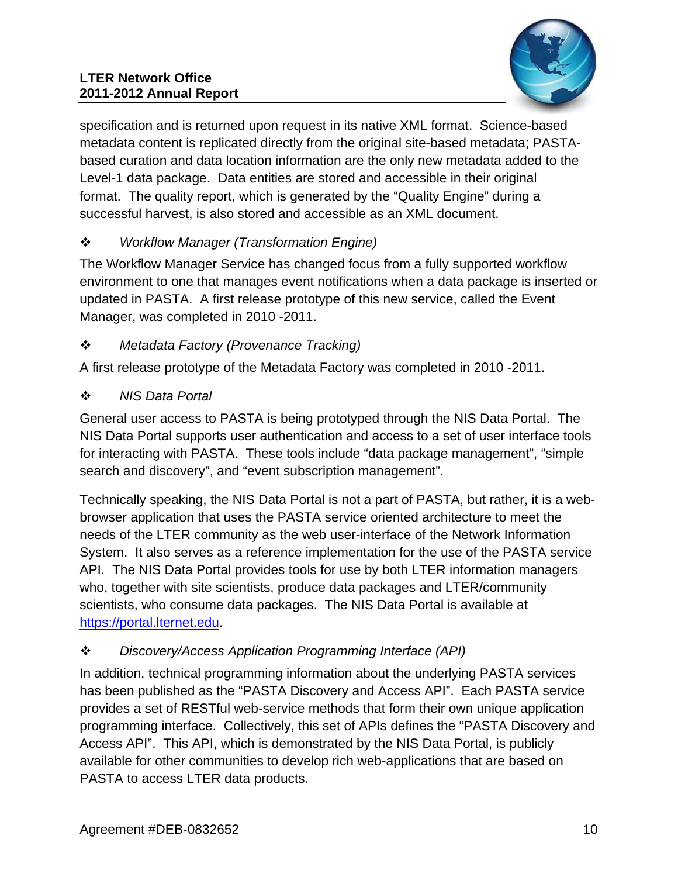

specification and is returned upon request in its native XML format. Science-based metadata content is replicated directly from the original site-based metadata; PASTAbased curation and data location information are the only new metadata added to the Level-1 data package. Data entities are stored and accessible in their original format. The quality report, which is generated by the "Quality Engine" during a successful harvest, is also stored and accessible as an XML document.

# *Workflow Manager (Transformation Engine)*

The Workflow Manager Service has changed focus from a fully supported workflow environment to one that manages event notifications when a data package is inserted or updated in PASTA. A first release prototype of this new service, called the Event Manager, was completed in 2010 -2011.

# *Metadata Factory (Provenance Tracking)*

A first release prototype of the Metadata Factory was completed in 2010 -2011.

# *NIS Data Portal*

General user access to PASTA is being prototyped through the NIS Data Portal. The NIS Data Portal supports user authentication and access to a set of user interface tools for interacting with PASTA. These tools include "data package management", "simple search and discovery", and "event subscription management".

Technically speaking, the NIS Data Portal is not a part of PASTA, but rather, it is a webbrowser application that uses the PASTA service oriented architecture to meet the needs of the LTER community as the web user-interface of the Network Information System. It also serves as a reference implementation for the use of the PASTA service API. The NIS Data Portal provides tools for use by both LTER information managers who, together with site scientists, produce data packages and LTER/community scientists, who consume data packages. The NIS Data Portal is available at https://portal.lternet.edu.

# *Discovery/Access Application Programming Interface (API)*

In addition, technical programming information about the underlying PASTA services has been published as the "PASTA Discovery and Access API". Each PASTA service provides a set of RESTful web-service methods that form their own unique application programming interface. Collectively, this set of APIs defines the "PASTA Discovery and Access API". This API, which is demonstrated by the NIS Data Portal, is publicly available for other communities to develop rich web-applications that are based on PASTA to access LTER data products.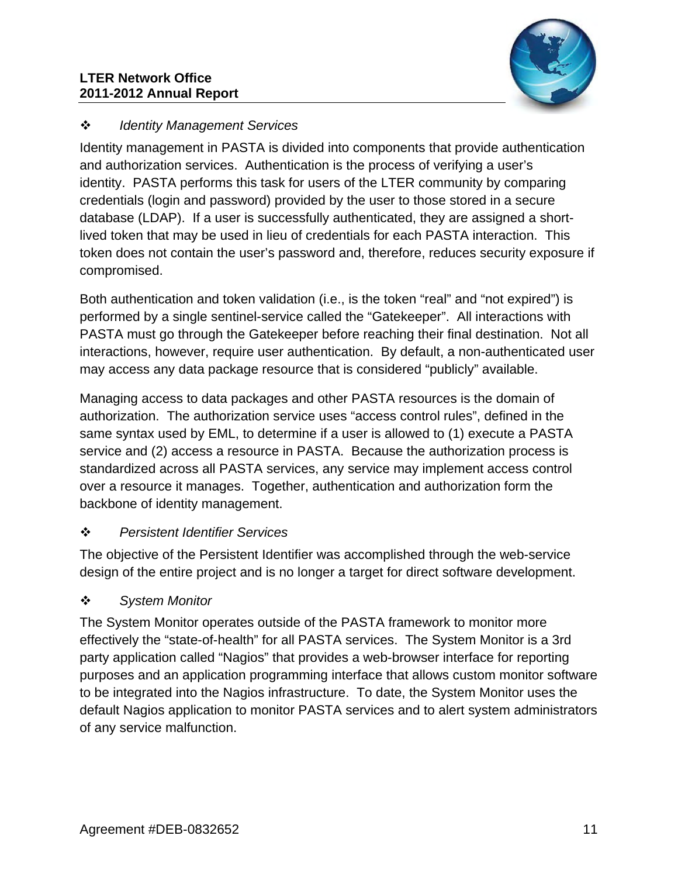#### **LTER Network Office 2011-2012 Annual Report**



### *Identity Management Services*

Identity management in PASTA is divided into components that provide authentication and authorization services. Authentication is the process of verifying a user's identity. PASTA performs this task for users of the LTER community by comparing credentials (login and password) provided by the user to those stored in a secure database (LDAP). If a user is successfully authenticated, they are assigned a shortlived token that may be used in lieu of credentials for each PASTA interaction. This token does not contain the user's password and, therefore, reduces security exposure if compromised.

Both authentication and token validation (i.e., is the token "real" and "not expired") is performed by a single sentinel-service called the "Gatekeeper". All interactions with PASTA must go through the Gatekeeper before reaching their final destination. Not all interactions, however, require user authentication. By default, a non-authenticated user may access any data package resource that is considered "publicly" available.

Managing access to data packages and other PASTA resources is the domain of authorization. The authorization service uses "access control rules", defined in the same syntax used by EML, to determine if a user is allowed to (1) execute a PASTA service and (2) access a resource in PASTA. Because the authorization process is standardized across all PASTA services, any service may implement access control over a resource it manages. Together, authentication and authorization form the backbone of identity management.

## *Persistent Identifier Services*

The objective of the Persistent Identifier was accomplished through the web-service design of the entire project and is no longer a target for direct software development.

## *System Monitor*

The System Monitor operates outside of the PASTA framework to monitor more effectively the "state-of-health" for all PASTA services. The System Monitor is a 3rd party application called "Nagios" that provides a web-browser interface for reporting purposes and an application programming interface that allows custom monitor software to be integrated into the Nagios infrastructure. To date, the System Monitor uses the default Nagios application to monitor PASTA services and to alert system administrators of any service malfunction.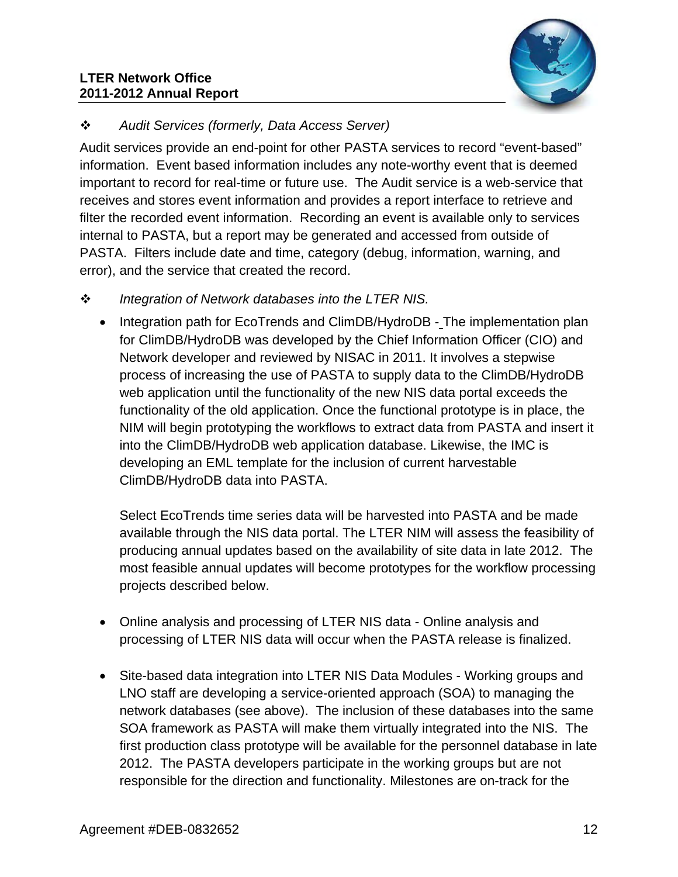#### **LTER Network Office 2011-2012 Annual Report**



# *Audit Services (formerly, Data Access Server)*

Audit services provide an end-point for other PASTA services to record "event-based" information. Event based information includes any note-worthy event that is deemed important to record for real-time or future use. The Audit service is a web-service that receives and stores event information and provides a report interface to retrieve and filter the recorded event information. Recording an event is available only to services internal to PASTA, but a report may be generated and accessed from outside of PASTA. Filters include date and time, category (debug, information, warning, and error), and the service that created the record.

- *Integration of Network databases into the LTER NIS.* 
	- Integration path for EcoTrends and ClimDB/HydroDB The implementation plan for ClimDB/HydroDB was developed by the Chief Information Officer (CIO) and Network developer and reviewed by NISAC in 2011. It involves a stepwise process of increasing the use of PASTA to supply data to the ClimDB/HydroDB web application until the functionality of the new NIS data portal exceeds the functionality of the old application. Once the functional prototype is in place, the NIM will begin prototyping the workflows to extract data from PASTA and insert it into the ClimDB/HydroDB web application database. Likewise, the IMC is developing an EML template for the inclusion of current harvestable ClimDB/HydroDB data into PASTA.

Select EcoTrends time series data will be harvested into PASTA and be made available through the NIS data portal. The LTER NIM will assess the feasibility of producing annual updates based on the availability of site data in late 2012. The most feasible annual updates will become prototypes for the workflow processing projects described below.

- Online analysis and processing of LTER NIS data Online analysis and processing of LTER NIS data will occur when the PASTA release is finalized.
- Site-based data integration into LTER NIS Data Modules Working groups and LNO staff are developing a service-oriented approach (SOA) to managing the network databases (see above). The inclusion of these databases into the same SOA framework as PASTA will make them virtually integrated into the NIS. The first production class prototype will be available for the personnel database in late 2012. The PASTA developers participate in the working groups but are not responsible for the direction and functionality. Milestones are on-track for the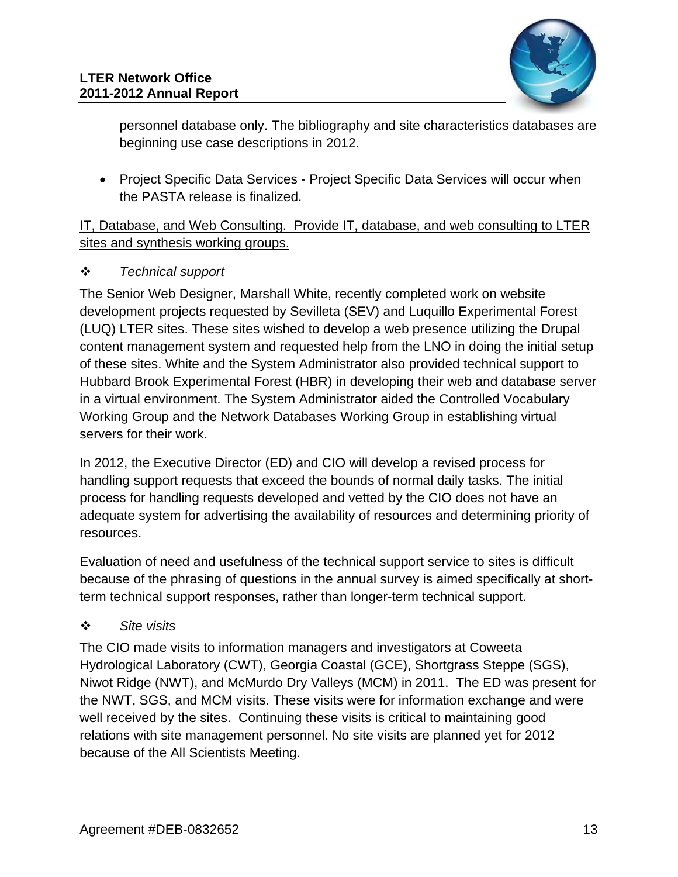

personnel database only. The bibliography and site characteristics databases are beginning use case descriptions in 2012.

• Project Specific Data Services - Project Specific Data Services will occur when the PASTA release is finalized.

IT, Database, and Web Consulting. Provide IT, database, and web consulting to LTER sites and synthesis working groups.

### *Technical support*

The Senior Web Designer, Marshall White, recently completed work on website development projects requested by Sevilleta (SEV) and Luquillo Experimental Forest (LUQ) LTER sites. These sites wished to develop a web presence utilizing the Drupal content management system and requested help from the LNO in doing the initial setup of these sites. White and the System Administrator also provided technical support to Hubbard Brook Experimental Forest (HBR) in developing their web and database server in a virtual environment. The System Administrator aided the Controlled Vocabulary Working Group and the Network Databases Working Group in establishing virtual servers for their work.

In 2012, the Executive Director (ED) and CIO will develop a revised process for handling support requests that exceed the bounds of normal daily tasks. The initial process for handling requests developed and vetted by the CIO does not have an adequate system for advertising the availability of resources and determining priority of resources.

Evaluation of need and usefulness of the technical support service to sites is difficult because of the phrasing of questions in the annual survey is aimed specifically at shortterm technical support responses, rather than longer-term technical support.

## *Site visits*

The CIO made visits to information managers and investigators at Coweeta Hydrological Laboratory (CWT), Georgia Coastal (GCE), Shortgrass Steppe (SGS), Niwot Ridge (NWT), and McMurdo Dry Valleys (MCM) in 2011. The ED was present for the NWT, SGS, and MCM visits. These visits were for information exchange and were well received by the sites. Continuing these visits is critical to maintaining good relations with site management personnel. No site visits are planned yet for 2012 because of the All Scientists Meeting.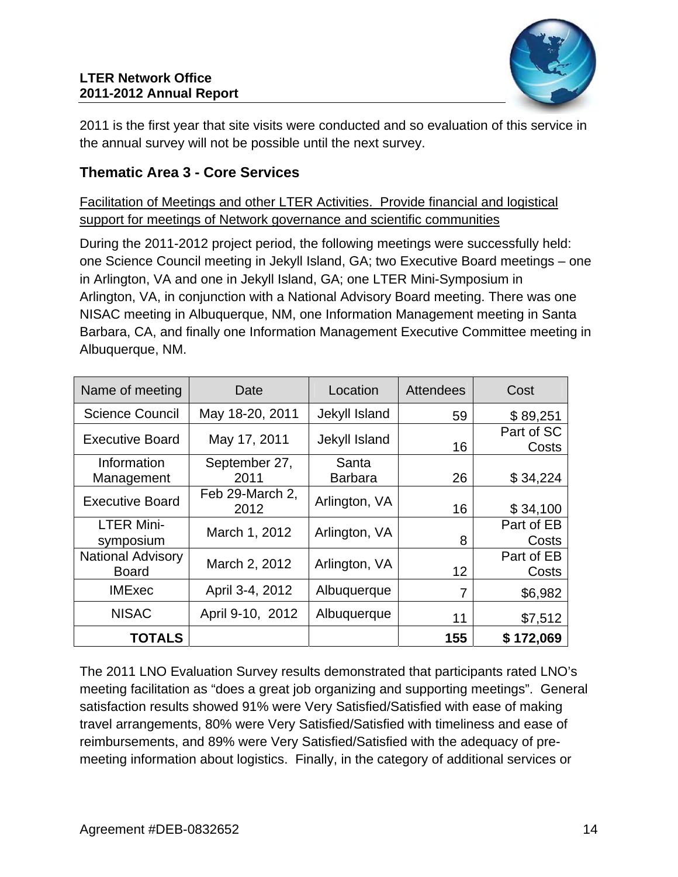

2011 is the first year that site visits were conducted and so evaluation of this service in the annual survey will not be possible until the next survey.

# **Thematic Area 3 - Core Services**

Facilitation of Meetings and other LTER Activities. Provide financial and logistical support for meetings of Network governance and scientific communities

During the 2011-2012 project period, the following meetings were successfully held: one Science Council meeting in Jekyll Island, GA; two Executive Board meetings – one in Arlington, VA and one in Jekyll Island, GA; one LTER Mini-Symposium in Arlington, VA, in conjunction with a National Advisory Board meeting. There was one NISAC meeting in Albuquerque, NM, one Information Management meeting in Santa Barbara, CA, and finally one Information Management Executive Committee meeting in Albuquerque, NM.

| Name of meeting                          | Date                    | Location                | <b>Attendees</b> | Cost                |
|------------------------------------------|-------------------------|-------------------------|------------------|---------------------|
| <b>Science Council</b>                   | May 18-20, 2011         | Jekyll Island           | 59               | \$89,251            |
| <b>Executive Board</b>                   | May 17, 2011            | Jekyll Island           | 16               | Part of SC<br>Costs |
| Information<br>Management                | September 27,<br>2011   | Santa<br><b>Barbara</b> | 26               | \$34,224            |
| <b>Executive Board</b>                   | Feb 29-March 2,<br>2012 | Arlington, VA           | 16               | \$34,100            |
| <b>LTER Mini-</b><br>symposium           | March 1, 2012           | Arlington, VA           | 8                | Part of EB<br>Costs |
| <b>National Advisory</b><br><b>Board</b> | March 2, 2012           | Arlington, VA           | 12               | Part of EB<br>Costs |
| <b>IMExec</b>                            | April 3-4, 2012         | Albuquerque             | 7                | \$6,982             |
| <b>NISAC</b>                             | April 9-10, 2012        | Albuquerque             | 11               | \$7,512             |
| <b>TOTALS</b>                            |                         |                         | 155              | \$172,069           |

The 2011 LNO Evaluation Survey results demonstrated that participants rated LNO's meeting facilitation as "does a great job organizing and supporting meetings". General satisfaction results showed 91% were Very Satisfied/Satisfied with ease of making travel arrangements, 80% were Very Satisfied/Satisfied with timeliness and ease of reimbursements, and 89% were Very Satisfied/Satisfied with the adequacy of premeeting information about logistics. Finally, in the category of additional services or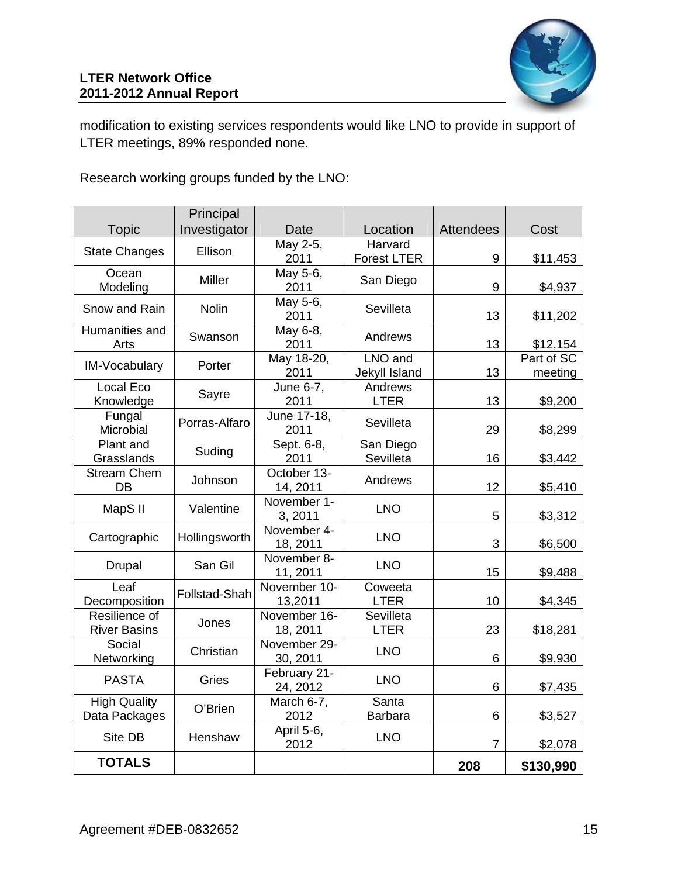modification to existing services respondents would like LNO to provide in support of LTER meetings, 89% responded none.

Research working groups funded by the LNO:

|                                      | Principal     |                          |                               |                  |                       |
|--------------------------------------|---------------|--------------------------|-------------------------------|------------------|-----------------------|
| <b>Topic</b>                         | Investigator  | Date                     | Location                      | <b>Attendees</b> | Cost                  |
| <b>State Changes</b>                 | Ellison       | May 2-5,<br>2011         | Harvard<br><b>Forest LTER</b> | 9                | \$11,453              |
| Ocean<br>Modeling                    | Miller        | May 5-6,<br>2011         | San Diego                     | 9                | \$4,937               |
| Snow and Rain                        | <b>Nolin</b>  | May 5-6,<br>2011         | Sevilleta                     | 13               | \$11,202              |
| Humanities and<br>Arts               | Swanson       | May 6-8,<br>2011         | Andrews                       | 13               | \$12,154              |
| IM-Vocabulary                        | Porter        | May 18-20,<br>2011       | LNO and<br>Jekyll Island      | 13               | Part of SC<br>meeting |
| Local Eco<br>Knowledge               | Sayre         | June $6-7$ ,<br>2011     | Andrews<br><b>LTER</b>        | 13               | \$9,200               |
| Fungal<br>Microbial                  | Porras-Alfaro | June 17-18,<br>2011      | Sevilleta                     | 29               | \$8,299               |
| Plant and<br>Grasslands              | Suding        | Sept. 6-8,<br>2011       | San Diego<br>Sevilleta        | 16               | \$3,442               |
| <b>Stream Chem</b><br>DB             | Johnson       | October 13-<br>14, 2011  | Andrews                       | 12               | \$5,410               |
| MapS II                              | Valentine     | November 1-<br>3, 2011   | <b>LNO</b>                    | 5                | \$3,312               |
| Cartographic                         | Hollingsworth | November 4-<br>18, 2011  | <b>LNO</b>                    | 3                | \$6,500               |
| <b>Drupal</b>                        | San Gil       | November 8-<br>11, 2011  | <b>LNO</b>                    | 15               | \$9,488               |
| Leaf<br>Decomposition                | Follstad-Shah | November 10-<br>13,2011  | Coweeta<br><b>LTER</b>        | 10               | \$4,345               |
| Resilience of<br><b>River Basins</b> | Jones         | November 16-<br>18, 2011 | Sevilleta<br><b>LTER</b>      | 23               | \$18,281              |
| Social<br>Networking                 | Christian     | November 29-<br>30, 2011 | <b>LNO</b>                    | 6                | \$9,930               |
| <b>PASTA</b>                         | Gries         | February 21-<br>24, 2012 | <b>LNO</b>                    | 6                | \$7,435               |
| <b>High Quality</b><br>Data Packages | O'Brien       | March 6-7,<br>2012       | Santa<br><b>Barbara</b>       | 6                | \$3,527               |
| Site DB                              | Henshaw       | April 5-6,<br>2012       | <b>LNO</b>                    | $\overline{7}$   | \$2,078               |
| <b>TOTALS</b>                        |               |                          |                               | 208              | \$130,990             |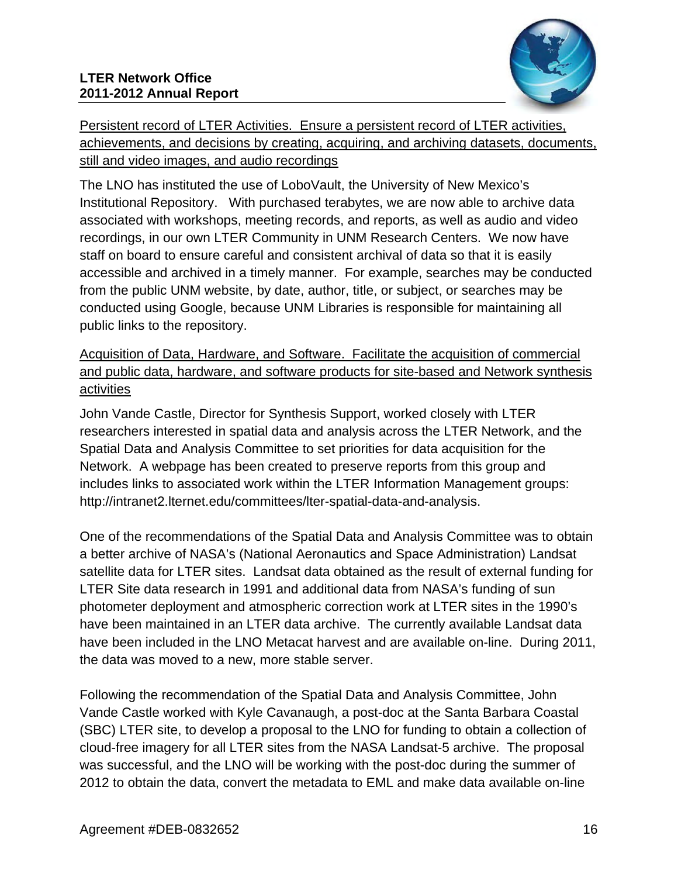

Persistent record of LTER Activities. Ensure a persistent record of LTER activities, achievements, and decisions by creating, acquiring, and archiving datasets, documents, still and video images, and audio recordings

The LNO has instituted the use of LoboVault, the University of New Mexico's Institutional Repository. With purchased terabytes, we are now able to archive data associated with workshops, meeting records, and reports, as well as audio and video recordings, in our own LTER Community in UNM Research Centers. We now have staff on board to ensure careful and consistent archival of data so that it is easily accessible and archived in a timely manner. For example, searches may be conducted from the public UNM website, by date, author, title, or subject, or searches may be conducted using Google, because UNM Libraries is responsible for maintaining all public links to the repository.

Acquisition of Data, Hardware, and Software. Facilitate the acquisition of commercial and public data, hardware, and software products for site-based and Network synthesis activities

John Vande Castle, Director for Synthesis Support, worked closely with LTER researchers interested in spatial data and analysis across the LTER Network, and the Spatial Data and Analysis Committee to set priorities for data acquisition for the Network. A webpage has been created to preserve reports from this group and includes links to associated work within the LTER Information Management groups: http://intranet2.lternet.edu/committees/lter-spatial-data-and-analysis.

One of the recommendations of the Spatial Data and Analysis Committee was to obtain a better archive of NASA's (National Aeronautics and Space Administration) Landsat satellite data for LTER sites. Landsat data obtained as the result of external funding for LTER Site data research in 1991 and additional data from NASA's funding of sun photometer deployment and atmospheric correction work at LTER sites in the 1990's have been maintained in an LTER data archive. The currently available Landsat data have been included in the LNO Metacat harvest and are available on-line. During 2011, the data was moved to a new, more stable server.

Following the recommendation of the Spatial Data and Analysis Committee, John Vande Castle worked with Kyle Cavanaugh, a post-doc at the Santa Barbara Coastal (SBC) LTER site, to develop a proposal to the LNO for funding to obtain a collection of cloud-free imagery for all LTER sites from the NASA Landsat-5 archive. The proposal was successful, and the LNO will be working with the post-doc during the summer of 2012 to obtain the data, convert the metadata to EML and make data available on-line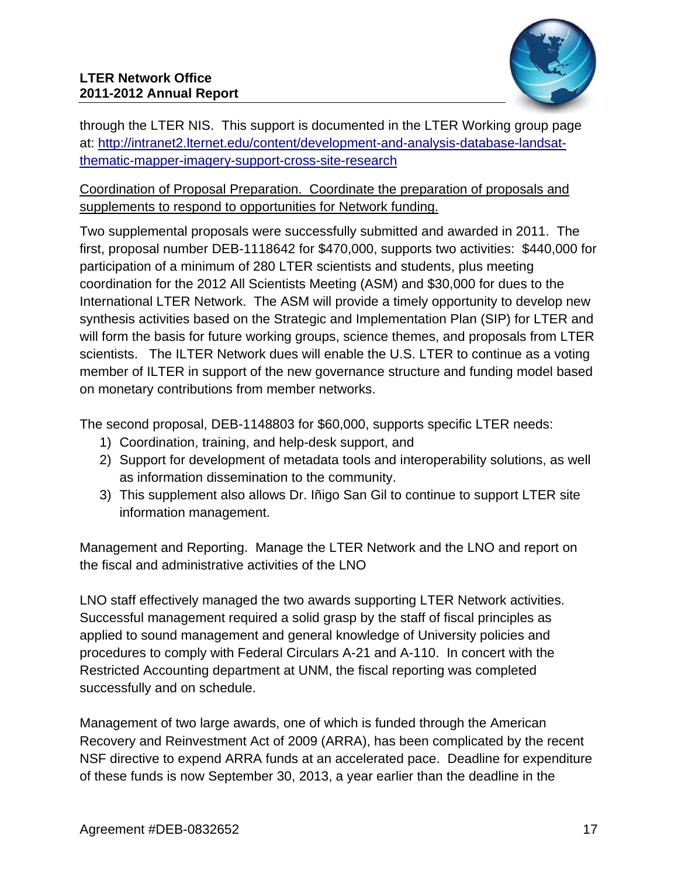

through the LTER NIS. This support is documented in the LTER Working group page at: http://intranet2.lternet.edu/content/development-and-analysis-database-landsatthematic-mapper-imagery-support-cross-site-research

### Coordination of Proposal Preparation. Coordinate the preparation of proposals and supplements to respond to opportunities for Network funding.

Two supplemental proposals were successfully submitted and awarded in 2011. The first, proposal number DEB-1118642 for \$470,000, supports two activities: \$440,000 for participation of a minimum of 280 LTER scientists and students, plus meeting coordination for the 2012 All Scientists Meeting (ASM) and \$30,000 for dues to the International LTER Network. The ASM will provide a timely opportunity to develop new synthesis activities based on the Strategic and Implementation Plan (SIP) for LTER and will form the basis for future working groups, science themes, and proposals from LTER scientists. The ILTER Network dues will enable the U.S. LTER to continue as a voting member of ILTER in support of the new governance structure and funding model based on monetary contributions from member networks.

The second proposal, DEB-1148803 for \$60,000, supports specific LTER needs:

- 1) Coordination, training, and help-desk support, and
- 2) Support for development of metadata tools and interoperability solutions, as well as information dissemination to the community.
- 3) This supplement also allows Dr. Iñigo San Gil to continue to support LTER site information management.

Management and Reporting. Manage the LTER Network and the LNO and report on the fiscal and administrative activities of the LNO

LNO staff effectively managed the two awards supporting LTER Network activities. Successful management required a solid grasp by the staff of fiscal principles as applied to sound management and general knowledge of University policies and procedures to comply with Federal Circulars A-21 and A-110. In concert with the Restricted Accounting department at UNM, the fiscal reporting was completed successfully and on schedule.

Management of two large awards, one of which is funded through the American Recovery and Reinvestment Act of 2009 (ARRA), has been complicated by the recent NSF directive to expend ARRA funds at an accelerated pace. Deadline for expenditure of these funds is now September 30, 2013, a year earlier than the deadline in the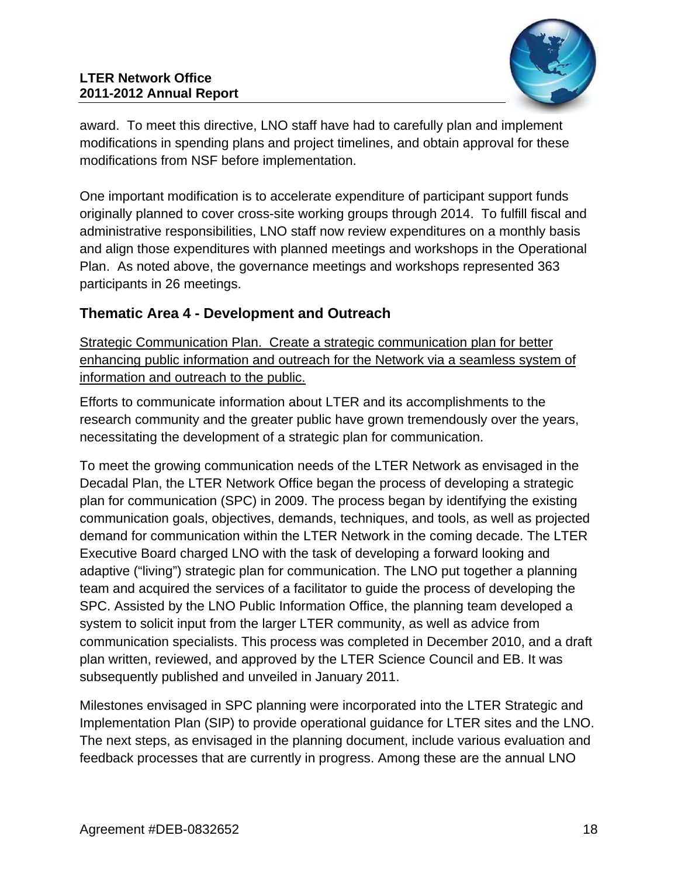

award. To meet this directive, LNO staff have had to carefully plan and implement modifications in spending plans and project timelines, and obtain approval for these modifications from NSF before implementation.

One important modification is to accelerate expenditure of participant support funds originally planned to cover cross-site working groups through 2014. To fulfill fiscal and administrative responsibilities, LNO staff now review expenditures on a monthly basis and align those expenditures with planned meetings and workshops in the Operational Plan. As noted above, the governance meetings and workshops represented 363 participants in 26 meetings.

# **Thematic Area 4 - Development and Outreach**

Strategic Communication Plan. Create a strategic communication plan for better enhancing public information and outreach for the Network via a seamless system of information and outreach to the public.

Efforts to communicate information about LTER and its accomplishments to the research community and the greater public have grown tremendously over the years, necessitating the development of a strategic plan for communication.

To meet the growing communication needs of the LTER Network as envisaged in the Decadal Plan, the LTER Network Office began the process of developing a strategic plan for communication (SPC) in 2009. The process began by identifying the existing communication goals, objectives, demands, techniques, and tools, as well as projected demand for communication within the LTER Network in the coming decade. The LTER Executive Board charged LNO with the task of developing a forward looking and adaptive ("living") strategic plan for communication. The LNO put together a planning team and acquired the services of a facilitator to guide the process of developing the SPC. Assisted by the LNO Public Information Office, the planning team developed a system to solicit input from the larger LTER community, as well as advice from communication specialists. This process was completed in December 2010, and a draft plan written, reviewed, and approved by the LTER Science Council and EB. It was subsequently published and unveiled in January 2011.

Milestones envisaged in SPC planning were incorporated into the LTER Strategic and Implementation Plan (SIP) to provide operational guidance for LTER sites and the LNO. The next steps, as envisaged in the planning document, include various evaluation and feedback processes that are currently in progress. Among these are the annual LNO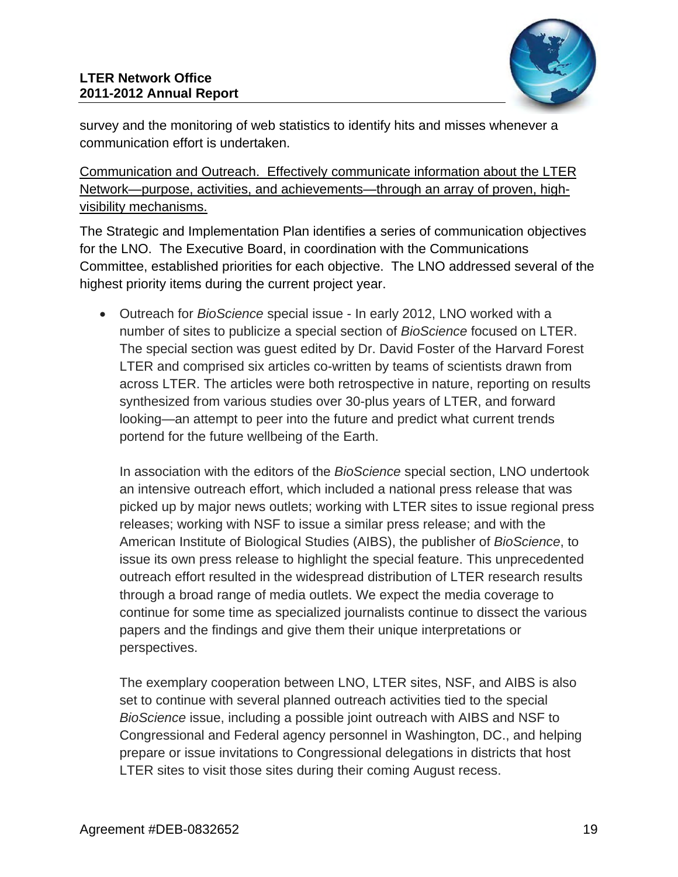

survey and the monitoring of web statistics to identify hits and misses whenever a communication effort is undertaken.

Communication and Outreach. Effectively communicate information about the LTER Network—purpose, activities, and achievements—through an array of proven, highvisibility mechanisms.

The Strategic and Implementation Plan identifies a series of communication objectives for the LNO. The Executive Board, in coordination with the Communications Committee, established priorities for each objective. The LNO addressed several of the highest priority items during the current project year.

 Outreach for *BioScience* special issue - In early 2012, LNO worked with a number of sites to publicize a special section of *BioScience* focused on LTER. The special section was guest edited by Dr. David Foster of the Harvard Forest LTER and comprised six articles co-written by teams of scientists drawn from across LTER. The articles were both retrospective in nature, reporting on results synthesized from various studies over 30-plus years of LTER, and forward looking—an attempt to peer into the future and predict what current trends portend for the future wellbeing of the Earth.

In association with the editors of the *BioScience* special section, LNO undertook an intensive outreach effort, which included a national press release that was picked up by major news outlets; working with LTER sites to issue regional press releases; working with NSF to issue a similar press release; and with the American Institute of Biological Studies (AIBS), the publisher of *BioScience*, to issue its own press release to highlight the special feature. This unprecedented outreach effort resulted in the widespread distribution of LTER research results through a broad range of media outlets. We expect the media coverage to continue for some time as specialized journalists continue to dissect the various papers and the findings and give them their unique interpretations or perspectives.

The exemplary cooperation between LNO, LTER sites, NSF, and AIBS is also set to continue with several planned outreach activities tied to the special *BioScience* issue, including a possible joint outreach with AIBS and NSF to Congressional and Federal agency personnel in Washington, DC., and helping prepare or issue invitations to Congressional delegations in districts that host LTER sites to visit those sites during their coming August recess.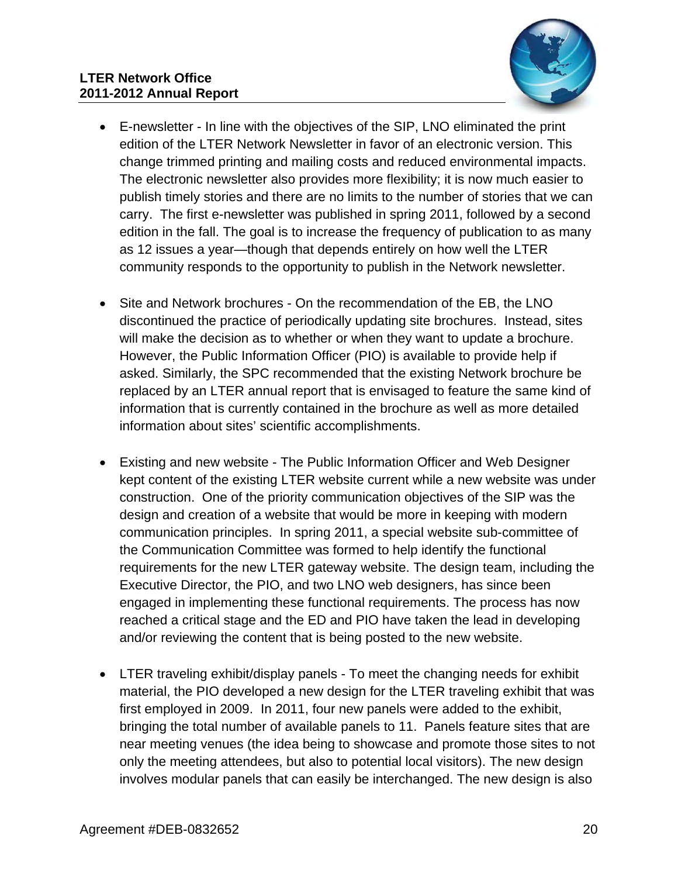

- E-newsletter In line with the objectives of the SIP, LNO eliminated the print edition of the LTER Network Newsletter in favor of an electronic version. This change trimmed printing and mailing costs and reduced environmental impacts. The electronic newsletter also provides more flexibility; it is now much easier to publish timely stories and there are no limits to the number of stories that we can carry. The first e-newsletter was published in spring 2011, followed by a second edition in the fall. The goal is to increase the frequency of publication to as many as 12 issues a year—though that depends entirely on how well the LTER community responds to the opportunity to publish in the Network newsletter.
- Site and Network brochures On the recommendation of the EB, the LNO discontinued the practice of periodically updating site brochures. Instead, sites will make the decision as to whether or when they want to update a brochure. However, the Public Information Officer (PIO) is available to provide help if asked. Similarly, the SPC recommended that the existing Network brochure be replaced by an LTER annual report that is envisaged to feature the same kind of information that is currently contained in the brochure as well as more detailed information about sites' scientific accomplishments.
- Existing and new website The Public Information Officer and Web Designer kept content of the existing LTER website current while a new website was under construction. One of the priority communication objectives of the SIP was the design and creation of a website that would be more in keeping with modern communication principles. In spring 2011, a special website sub-committee of the Communication Committee was formed to help identify the functional requirements for the new LTER gateway website. The design team, including the Executive Director, the PIO, and two LNO web designers, has since been engaged in implementing these functional requirements. The process has now reached a critical stage and the ED and PIO have taken the lead in developing and/or reviewing the content that is being posted to the new website.
- LTER traveling exhibit/display panels To meet the changing needs for exhibit material, the PIO developed a new design for the LTER traveling exhibit that was first employed in 2009. In 2011, four new panels were added to the exhibit, bringing the total number of available panels to 11. Panels feature sites that are near meeting venues (the idea being to showcase and promote those sites to not only the meeting attendees, but also to potential local visitors). The new design involves modular panels that can easily be interchanged. The new design is also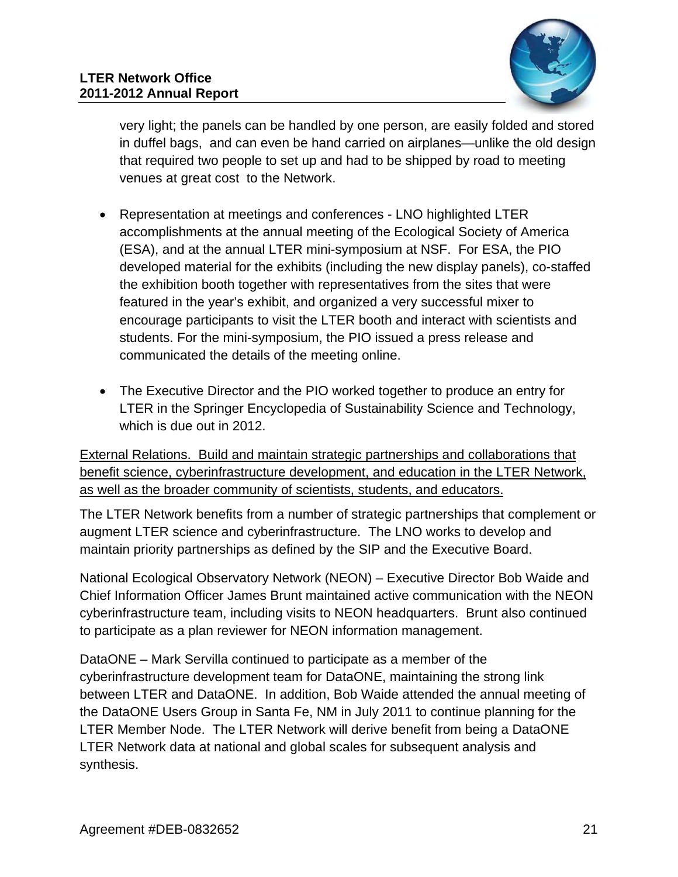

very light; the panels can be handled by one person, are easily folded and stored in duffel bags, and can even be hand carried on airplanes—unlike the old design that required two people to set up and had to be shipped by road to meeting venues at great cost to the Network.

- Representation at meetings and conferences LNO highlighted LTER accomplishments at the annual meeting of the Ecological Society of America (ESA), and at the annual LTER mini-symposium at NSF. For ESA, the PIO developed material for the exhibits (including the new display panels), co-staffed the exhibition booth together with representatives from the sites that were featured in the year's exhibit, and organized a very successful mixer to encourage participants to visit the LTER booth and interact with scientists and students. For the mini-symposium, the PIO issued a press release and communicated the details of the meeting online.
- The Executive Director and the PIO worked together to produce an entry for LTER in the Springer Encyclopedia of Sustainability Science and Technology, which is due out in 2012.

External Relations. Build and maintain strategic partnerships and collaborations that benefit science, cyberinfrastructure development, and education in the LTER Network, as well as the broader community of scientists, students, and educators.

The LTER Network benefits from a number of strategic partnerships that complement or augment LTER science and cyberinfrastructure. The LNO works to develop and maintain priority partnerships as defined by the SIP and the Executive Board.

National Ecological Observatory Network (NEON) – Executive Director Bob Waide and Chief Information Officer James Brunt maintained active communication with the NEON cyberinfrastructure team, including visits to NEON headquarters. Brunt also continued to participate as a plan reviewer for NEON information management.

DataONE – Mark Servilla continued to participate as a member of the cyberinfrastructure development team for DataONE, maintaining the strong link between LTER and DataONE. In addition, Bob Waide attended the annual meeting of the DataONE Users Group in Santa Fe, NM in July 2011 to continue planning for the LTER Member Node. The LTER Network will derive benefit from being a DataONE LTER Network data at national and global scales for subsequent analysis and synthesis.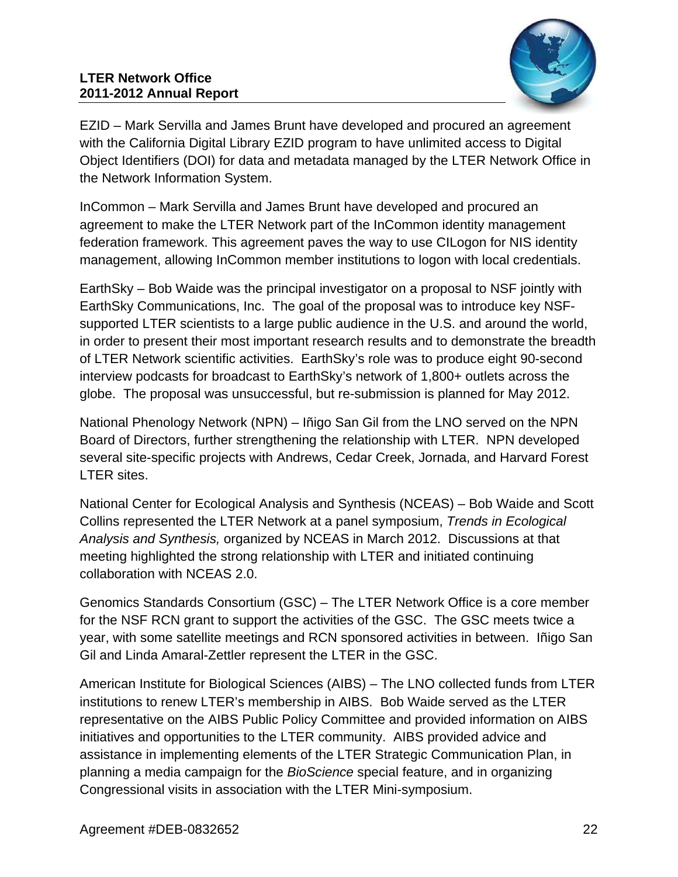#### **LTER Network Office 2011-2012 Annual Report**



EZID – Mark Servilla and James Brunt have developed and procured an agreement with the California Digital Library EZID program to have unlimited access to Digital Object Identifiers (DOI) for data and metadata managed by the LTER Network Office in the Network Information System.

InCommon – Mark Servilla and James Brunt have developed and procured an agreement to make the LTER Network part of the InCommon identity management federation framework. This agreement paves the way to use CILogon for NIS identity management, allowing InCommon member institutions to logon with local credentials.

EarthSky – Bob Waide was the principal investigator on a proposal to NSF jointly with EarthSky Communications, Inc. The goal of the proposal was to introduce key NSFsupported LTER scientists to a large public audience in the U.S. and around the world, in order to present their most important research results and to demonstrate the breadth of LTER Network scientific activities. EarthSky's role was to produce eight 90-second interview podcasts for broadcast to EarthSky's network of 1,800+ outlets across the globe. The proposal was unsuccessful, but re-submission is planned for May 2012.

National Phenology Network (NPN) – Iñigo San Gil from the LNO served on the NPN Board of Directors, further strengthening the relationship with LTER. NPN developed several site-specific projects with Andrews, Cedar Creek, Jornada, and Harvard Forest LTER sites.

National Center for Ecological Analysis and Synthesis (NCEAS) – Bob Waide and Scott Collins represented the LTER Network at a panel symposium, *Trends in Ecological Analysis and Synthesis,* organized by NCEAS in March 2012. Discussions at that meeting highlighted the strong relationship with LTER and initiated continuing collaboration with NCEAS 2.0.

Genomics Standards Consortium (GSC) – The LTER Network Office is a core member for the NSF RCN grant to support the activities of the GSC. The GSC meets twice a year, with some satellite meetings and RCN sponsored activities in between. Iñigo San Gil and Linda Amaral-Zettler represent the LTER in the GSC.

American Institute for Biological Sciences (AIBS) – The LNO collected funds from LTER institutions to renew LTER's membership in AIBS. Bob Waide served as the LTER representative on the AIBS Public Policy Committee and provided information on AIBS initiatives and opportunities to the LTER community. AIBS provided advice and assistance in implementing elements of the LTER Strategic Communication Plan, in planning a media campaign for the *BioScience* special feature, and in organizing Congressional visits in association with the LTER Mini-symposium.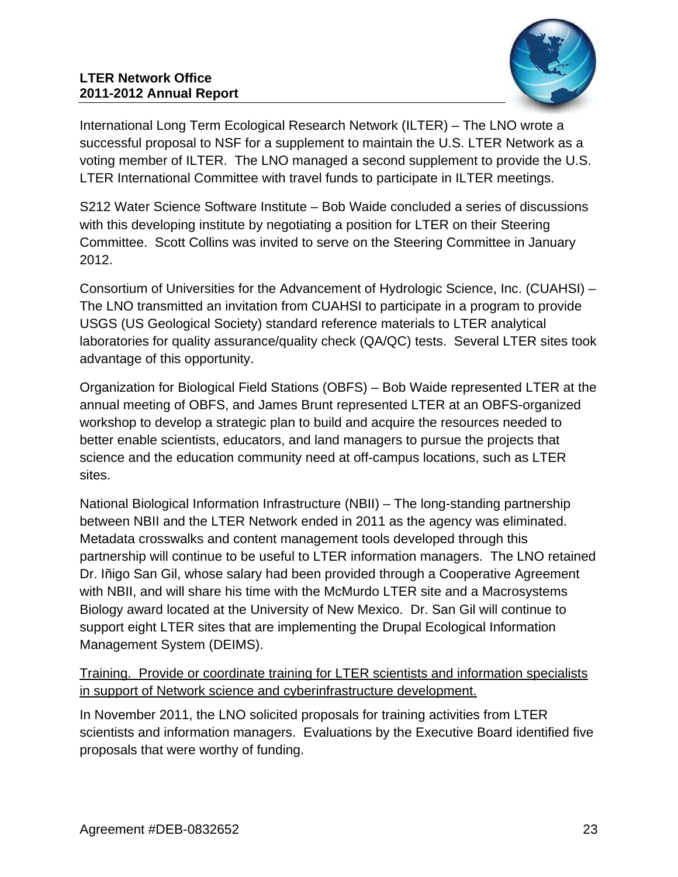

International Long Term Ecological Research Network (ILTER) – The LNO wrote a successful proposal to NSF for a supplement to maintain the U.S. LTER Network as a voting member of ILTER. The LNO managed a second supplement to provide the U.S. LTER International Committee with travel funds to participate in ILTER meetings.

S212 Water Science Software Institute – Bob Waide concluded a series of discussions with this developing institute by negotiating a position for LTER on their Steering Committee. Scott Collins was invited to serve on the Steering Committee in January 2012.

Consortium of Universities for the Advancement of Hydrologic Science, Inc. (CUAHSI) – The LNO transmitted an invitation from CUAHSI to participate in a program to provide USGS (US Geological Society) standard reference materials to LTER analytical laboratories for quality assurance/quality check (QA/QC) tests. Several LTER sites took advantage of this opportunity.

Organization for Biological Field Stations (OBFS) – Bob Waide represented LTER at the annual meeting of OBFS, and James Brunt represented LTER at an OBFS-organized workshop to develop a strategic plan to build and acquire the resources needed to better enable scientists, educators, and land managers to pursue the projects that science and the education community need at off-campus locations, such as LTER sites.

National Biological Information Infrastructure (NBII) – The long-standing partnership between NBII and the LTER Network ended in 2011 as the agency was eliminated. Metadata crosswalks and content management tools developed through this partnership will continue to be useful to LTER information managers. The LNO retained Dr. Iñigo San Gil, whose salary had been provided through a Cooperative Agreement with NBII, and will share his time with the McMurdo LTER site and a Macrosystems Biology award located at the University of New Mexico. Dr. San Gil will continue to support eight LTER sites that are implementing the Drupal Ecological Information Management System (DEIMS).

## Training. Provide or coordinate training for LTER scientists and information specialists in support of Network science and cyberinfrastructure development.

In November 2011, the LNO solicited proposals for training activities from LTER scientists and information managers. Evaluations by the Executive Board identified five proposals that were worthy of funding.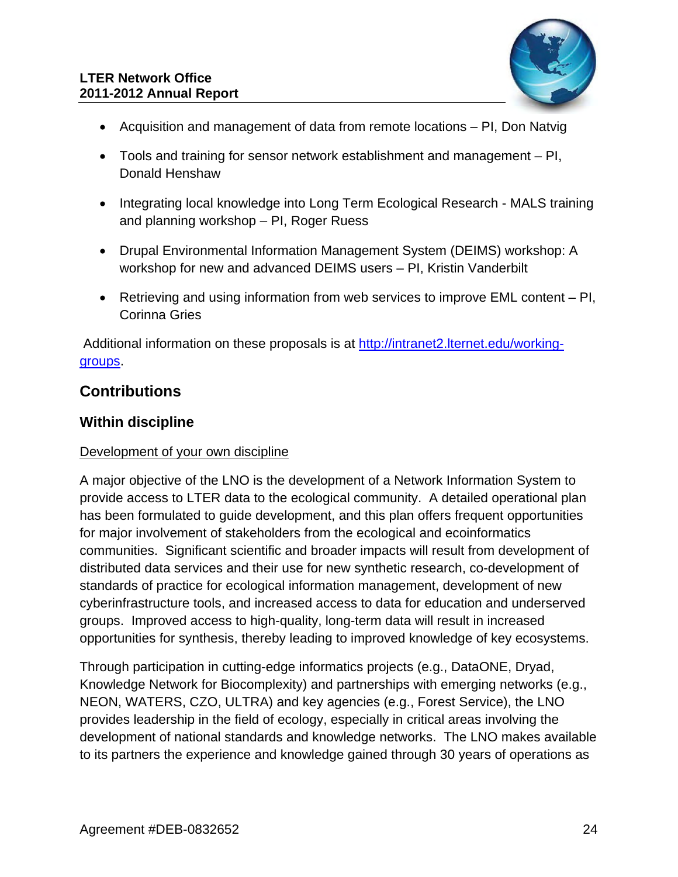

- Acquisition and management of data from remote locations PI, Don Natvig
- Tools and training for sensor network establishment and management PI, Donald Henshaw
- Integrating local knowledge into Long Term Ecological Research MALS training and planning workshop – PI, Roger Ruess
- Drupal Environmental Information Management System (DEIMS) workshop: A workshop for new and advanced DEIMS users – PI, Kristin Vanderbilt
- Retrieving and using information from web services to improve EML content PI, Corinna Gries

 Additional information on these proposals is at http://intranet2.lternet.edu/workinggroups.

# **Contributions**

## **Within discipline**

### Development of your own discipline

A major objective of the LNO is the development of a Network Information System to provide access to LTER data to the ecological community. A detailed operational plan has been formulated to guide development, and this plan offers frequent opportunities for major involvement of stakeholders from the ecological and ecoinformatics communities. Significant scientific and broader impacts will result from development of distributed data services and their use for new synthetic research, co-development of standards of practice for ecological information management, development of new cyberinfrastructure tools, and increased access to data for education and underserved groups. Improved access to high-quality, long-term data will result in increased opportunities for synthesis, thereby leading to improved knowledge of key ecosystems.

Through participation in cutting-edge informatics projects (e.g., DataONE, Dryad, Knowledge Network for Biocomplexity) and partnerships with emerging networks (e.g., NEON, WATERS, CZO, ULTRA) and key agencies (e.g., Forest Service), the LNO provides leadership in the field of ecology, especially in critical areas involving the development of national standards and knowledge networks. The LNO makes available to its partners the experience and knowledge gained through 30 years of operations as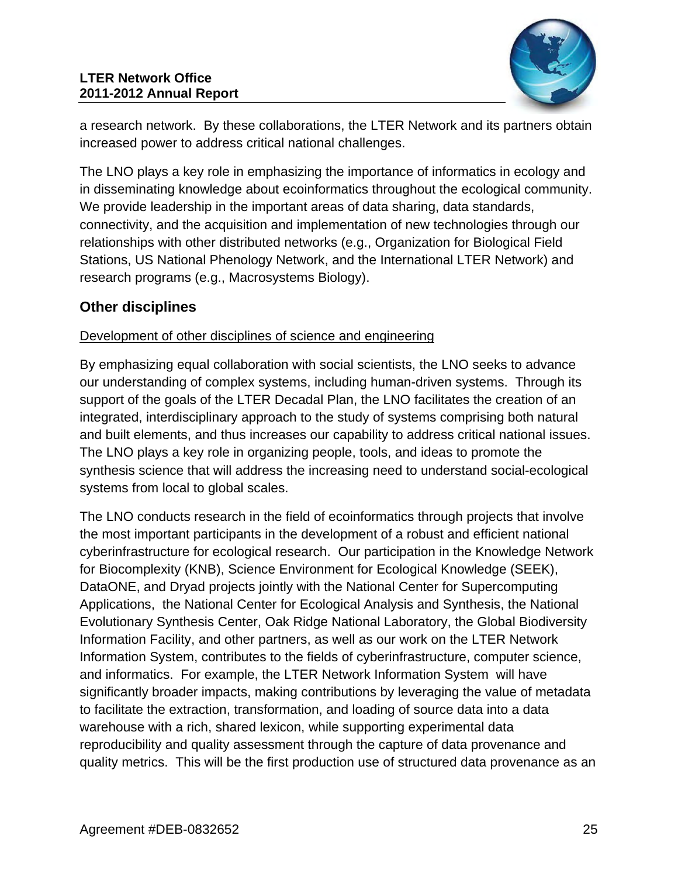

a research network. By these collaborations, the LTER Network and its partners obtain increased power to address critical national challenges.

The LNO plays a key role in emphasizing the importance of informatics in ecology and in disseminating knowledge about ecoinformatics throughout the ecological community. We provide leadership in the important areas of data sharing, data standards, connectivity, and the acquisition and implementation of new technologies through our relationships with other distributed networks (e.g., Organization for Biological Field Stations, US National Phenology Network, and the International LTER Network) and research programs (e.g., Macrosystems Biology).

# **Other disciplines**

### Development of other disciplines of science and engineering

By emphasizing equal collaboration with social scientists, the LNO seeks to advance our understanding of complex systems, including human-driven systems. Through its support of the goals of the LTER Decadal Plan, the LNO facilitates the creation of an integrated, interdisciplinary approach to the study of systems comprising both natural and built elements, and thus increases our capability to address critical national issues. The LNO plays a key role in organizing people, tools, and ideas to promote the synthesis science that will address the increasing need to understand social-ecological systems from local to global scales.

The LNO conducts research in the field of ecoinformatics through projects that involve the most important participants in the development of a robust and efficient national cyberinfrastructure for ecological research. Our participation in the Knowledge Network for Biocomplexity (KNB), Science Environment for Ecological Knowledge (SEEK), DataONE, and Dryad projects jointly with the National Center for Supercomputing Applications, the National Center for Ecological Analysis and Synthesis, the National Evolutionary Synthesis Center, Oak Ridge National Laboratory, the Global Biodiversity Information Facility, and other partners, as well as our work on the LTER Network Information System, contributes to the fields of cyberinfrastructure, computer science, and informatics. For example, the LTER Network Information System will have significantly broader impacts, making contributions by leveraging the value of metadata to facilitate the extraction, transformation, and loading of source data into a data warehouse with a rich, shared lexicon, while supporting experimental data reproducibility and quality assessment through the capture of data provenance and quality metrics. This will be the first production use of structured data provenance as an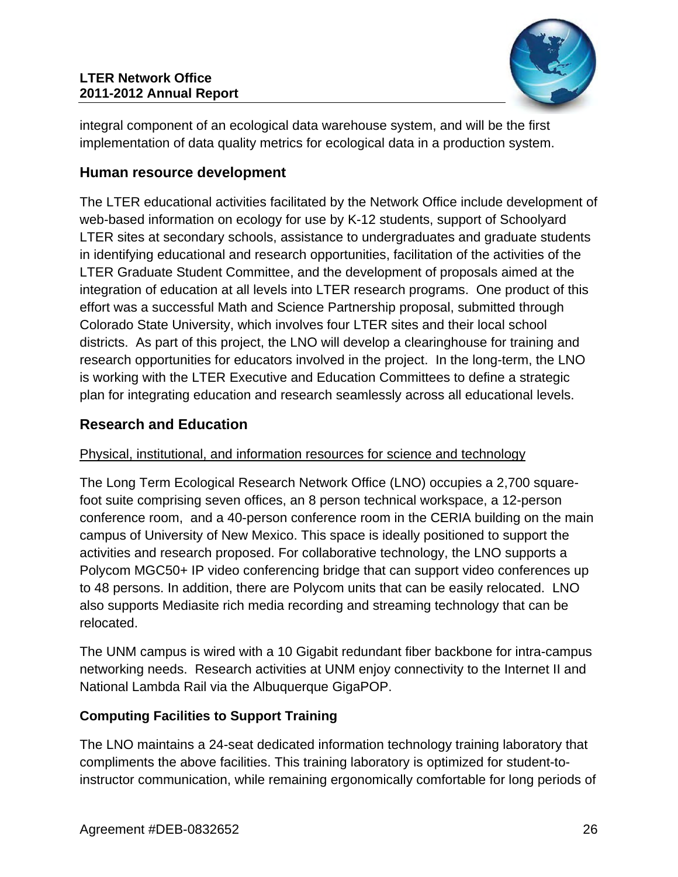

integral component of an ecological data warehouse system, and will be the first implementation of data quality metrics for ecological data in a production system.

## **Human resource development**

The LTER educational activities facilitated by the Network Office include development of web-based information on ecology for use by K-12 students, support of Schoolyard LTER sites at secondary schools, assistance to undergraduates and graduate students in identifying educational and research opportunities, facilitation of the activities of the LTER Graduate Student Committee, and the development of proposals aimed at the integration of education at all levels into LTER research programs. One product of this effort was a successful Math and Science Partnership proposal, submitted through Colorado State University, which involves four LTER sites and their local school districts. As part of this project, the LNO will develop a clearinghouse for training and research opportunities for educators involved in the project. In the long-term, the LNO is working with the LTER Executive and Education Committees to define a strategic plan for integrating education and research seamlessly across all educational levels.

## **Research and Education**

### Physical, institutional, and information resources for science and technology

The Long Term Ecological Research Network Office (LNO) occupies a 2,700 squarefoot suite comprising seven offices, an 8 person technical workspace, a 12-person conference room, and a 40-person conference room in the CERIA building on the main campus of University of New Mexico. This space is ideally positioned to support the activities and research proposed. For collaborative technology, the LNO supports a Polycom MGC50+ IP video conferencing bridge that can support video conferences up to 48 persons. In addition, there are Polycom units that can be easily relocated. LNO also supports Mediasite rich media recording and streaming technology that can be relocated.

The UNM campus is wired with a 10 Gigabit redundant fiber backbone for intra-campus networking needs. Research activities at UNM enjoy connectivity to the Internet II and National Lambda Rail via the Albuquerque GigaPOP.

### **Computing Facilities to Support Training**

The LNO maintains a 24-seat dedicated information technology training laboratory that compliments the above facilities. This training laboratory is optimized for student-toinstructor communication, while remaining ergonomically comfortable for long periods of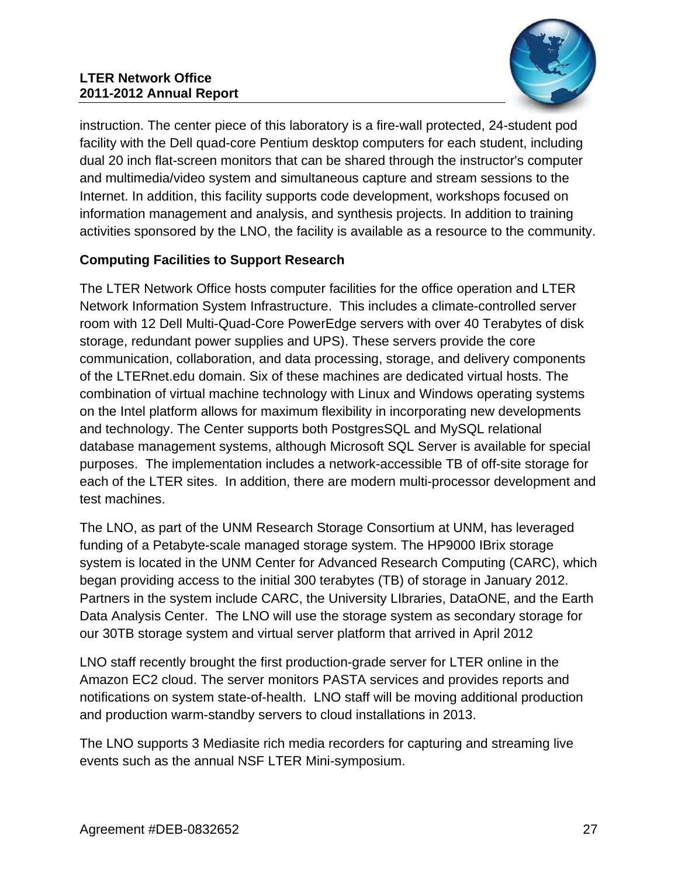#### **LTER Network Office 2011-2012 Annual Report**



instruction. The center piece of this laboratory is a fire-wall protected, 24-student pod facility with the Dell quad-core Pentium desktop computers for each student, including dual 20 inch flat-screen monitors that can be shared through the instructor's computer and multimedia/video system and simultaneous capture and stream sessions to the Internet. In addition, this facility supports code development, workshops focused on information management and analysis, and synthesis projects. In addition to training activities sponsored by the LNO, the facility is available as a resource to the community.

## **Computing Facilities to Support Research**

The LTER Network Office hosts computer facilities for the office operation and LTER Network Information System Infrastructure. This includes a climate-controlled server room with 12 Dell Multi-Quad-Core PowerEdge servers with over 40 Terabytes of disk storage, redundant power supplies and UPS). These servers provide the core communication, collaboration, and data processing, storage, and delivery components of the LTERnet.edu domain. Six of these machines are dedicated virtual hosts. The combination of virtual machine technology with Linux and Windows operating systems on the Intel platform allows for maximum flexibility in incorporating new developments and technology. The Center supports both PostgresSQL and MySQL relational database management systems, although Microsoft SQL Server is available for special purposes. The implementation includes a network-accessible TB of off-site storage for each of the LTER sites. In addition, there are modern multi-processor development and test machines.

The LNO, as part of the UNM Research Storage Consortium at UNM, has leveraged funding of a Petabyte-scale managed storage system. The HP9000 IBrix storage system is located in the UNM Center for Advanced Research Computing (CARC), which began providing access to the initial 300 terabytes (TB) of storage in January 2012. Partners in the system include CARC, the University LIbraries, DataONE, and the Earth Data Analysis Center. The LNO will use the storage system as secondary storage for our 30TB storage system and virtual server platform that arrived in April 2012

LNO staff recently brought the first production-grade server for LTER online in the Amazon EC2 cloud. The server monitors PASTA services and provides reports and notifications on system state-of-health. LNO staff will be moving additional production and production warm-standby servers to cloud installations in 2013.

The LNO supports 3 Mediasite rich media recorders for capturing and streaming live events such as the annual NSF LTER Mini-symposium.